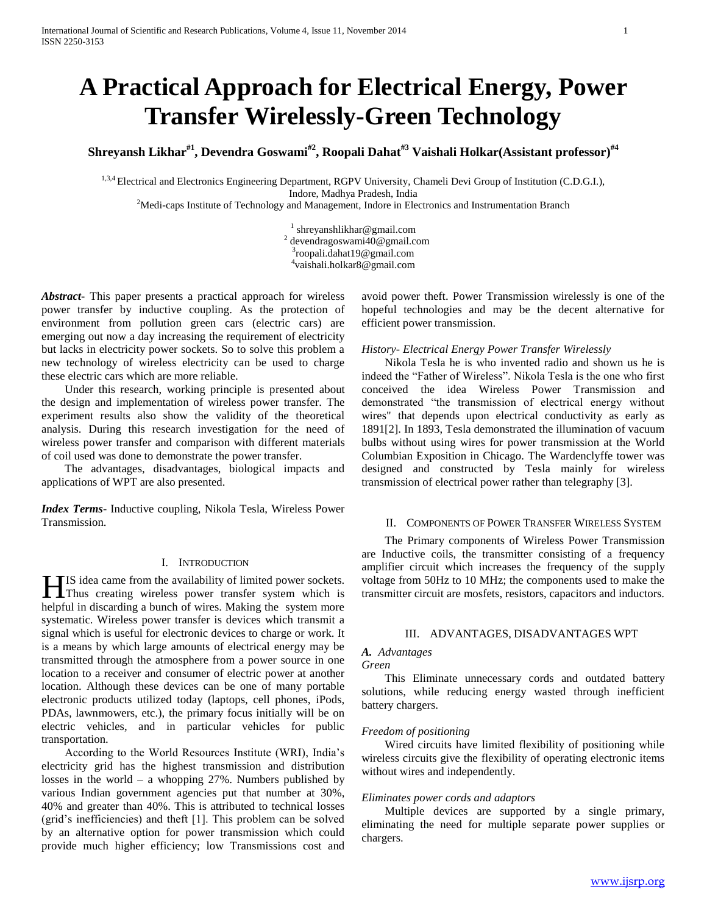# **A Practical Approach for Electrical Energy, Power Transfer Wirelessly-Green Technology**

**Shreyansh Likhar#1, Devendra Goswami#2, Roopali Dahat#3 Vaishali Holkar(Assistant professor) #4**

<sup>1,3,4</sup> Electrical and Electronics Engineering Department, RGPV University, Chameli Devi Group of Institution (C.D.G.I.), Indore, Madhya Pradesh, India

 $<sup>2</sup>$ Medi-caps Institute of Technology and Management, Indore in Electronics and Instrumentation Branch</sup>

<sup>1</sup> shreyanshlikhar@gmail.com devendragoswami40@gmail.com roopali.dahat19@gmail.com vaishali.holkar8@gmail.com

*Abstract***-** This paper presents a practical approach for wireless power transfer by inductive coupling. As the protection of environment from pollution green cars (electric cars) are emerging out now a day increasing the requirement of electricity but lacks in electricity power sockets. So to solve this problem a new technology of wireless electricity can be used to charge these electric cars which are more reliable.

 Under this research, working principle is presented about the design and implementation of wireless power transfer. The experiment results also show the validity of the theoretical analysis. During this research investigation for the need of wireless power transfer and comparison with different materials of coil used was done to demonstrate the power transfer.

 The advantages, disadvantages, biological impacts and applications of WPT are also presented.

*Index Terms*- Inductive coupling, Nikola Tesla, Wireless Power Transmission.

## I. INTRODUCTION

IS idea came from the availability of limited power sockets. **THE** IS idea came from the availability of limited power sockets.<br>Thus creating wireless power transfer system which is helpful in discarding a bunch of wires. Making the system more systematic. Wireless power transfer is devices which transmit a signal which is useful for electronic devices to charge or work. It is a means by which large amounts of electrical energy may be transmitted through the atmosphere from a power source in one location to a receiver and consumer of electric power at another location. Although these devices can be one of many portable electronic products utilized today (laptops, cell phones, iPods, PDAs, lawnmowers, etc.), the primary focus initially will be on electric vehicles, and in particular vehicles for public transportation.

 According to the World Resources Institute (WRI), India's electricity grid has the highest transmission and distribution losses in the world – a whopping  $27\%$ . Numbers published by various Indian government agencies put that number at 30%, 40% and greater than 40%. This is attributed to technical losses (grid's inefficiencies) and theft [1]. This problem can be solved by an alternative option for power transmission which could provide much higher efficiency; low Transmissions cost and

avoid power theft. Power Transmission wirelessly is one of the hopeful technologies and may be the decent alternative for efficient power transmission.

# *History- Electrical Energy Power Transfer Wirelessly*

 Nikola Tesla he is who invented radio and shown us he is indeed the "Father of Wireless". Nikola Tesla is the one who first conceived the idea Wireless Power Transmission and demonstrated "the transmission of electrical energy without wires" that depends upon electrical conductivity as early as 1891[2]. In 1893, Tesla demonstrated the illumination of vacuum bulbs without using wires for power transmission at the World Columbian Exposition in Chicago. The Wardenclyffe tower was designed and constructed by Tesla mainly for wireless transmission of electrical power rather than telegraphy [3].

# II. COMPONENTS OF POWER TRANSFER WIRELESS SYSTEM

 The Primary components of Wireless Power Transmission are Inductive coils, the transmitter consisting of a frequency amplifier circuit which increases the frequency of the supply voltage from 50Hz to 10 MHz; the components used to make the transmitter circuit are mosfets, resistors, capacitors and inductors.

# III. ADVANTAGES, DISADVANTAGES WPT

# *A. Advantages*

# *Green*

 This Eliminate unnecessary cords and outdated battery solutions, while reducing energy wasted through inefficient battery chargers.

# *Freedom of positioning*

 Wired circuits have limited flexibility of positioning while wireless circuits give the flexibility of operating electronic items without wires and independently.

# *Eliminates power cords and adaptors*

 Multiple devices are supported by a single primary, eliminating the need for multiple separate power supplies or chargers.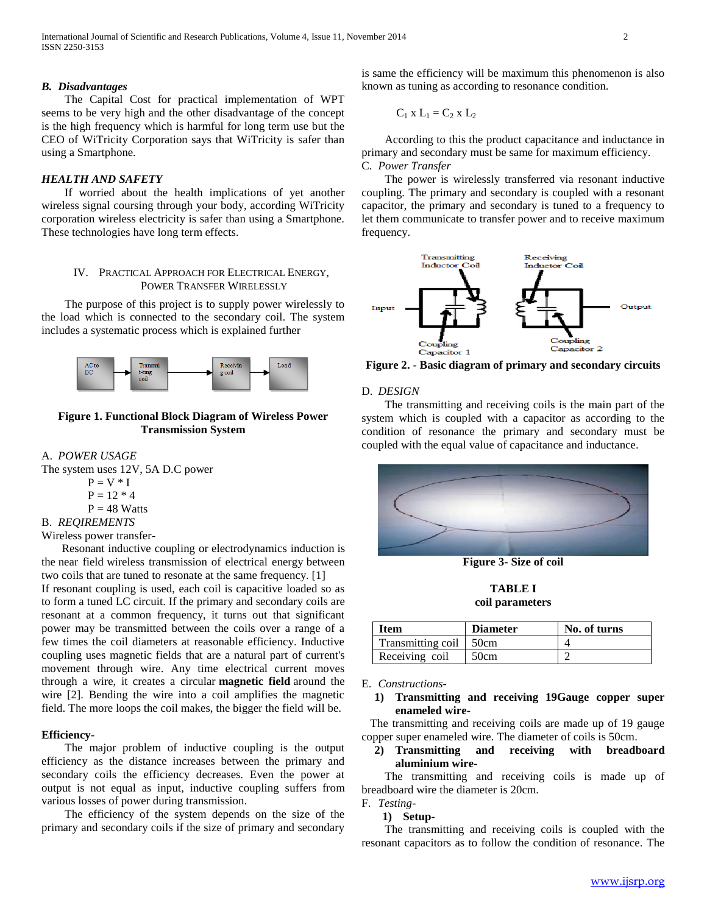## *B. Disadvantages*

 The Capital Cost for practical implementation of WPT seems to be very high and the other disadvantage of the concept is the high frequency which is harmful for long term use but the CEO of WiTricity Corporation says that WiTricity is safer than using a Smartphone.

## *HEALTH AND SAFETY*

 If worried about the health implications of yet another wireless signal coursing through your body, according WiTricity corporation wireless electricity is safer than using a Smartphone. These technologies have long term effects.

# IV. PRACTICAL APPROACH FOR ELECTRICAL ENERGY, POWER TRANSFER WIRELESSLY

 The purpose of this project is to supply power wirelessly to the load which is connected to the secondary coil. The system includes a systematic process which is explained further



# **Figure 1. Functional Block Diagram of Wireless Power Transmission System**

#### A. *POWER USAGE*

The system uses 12V, 5A D.C power

$$
P=V\,\,{^*\,}\,I
$$

- $P = 12 * 4$
- $P = 48$  Watts

B. *REQIREMENTS*

Wireless power transfer-

 Resonant inductive coupling or electrodynamics induction is the near field wireless transmission of electrical energy between two coils that are tuned to resonate at the same frequency. [1]

If resonant coupling is used, each coil is capacitive loaded so as to form a tuned LC circuit. If the primary and secondary coils are resonant at a common frequency, it turns out that significant power may be transmitted between the coils over a range of a few times the coil diameters at reasonable efficiency. Inductive coupling uses magnetic fields that are a natural part of current's movement through wire. Any time electrical current moves through a wire, it creates a circular **magnetic field** around the wire [2]. Bending the wire into a coil amplifies the magnetic field. The more loops the coil makes, the bigger the field will be.

# **Efficiency-**

 The major problem of inductive coupling is the output efficiency as the distance increases between the primary and secondary coils the efficiency decreases. Even the power at output is not equal as input, inductive coupling suffers from various losses of power during transmission.

 The efficiency of the system depends on the size of the primary and secondary coils if the size of primary and secondary is same the efficiency will be maximum this phenomenon is also known as tuning as according to resonance condition.

$$
C_1 \times L_1 = C_2 \times L_2
$$

 According to this the product capacitance and inductance in primary and secondary must be same for maximum efficiency. C. *Power Transfer* 

 The power is wirelessly transferred via resonant inductive coupling. The primary and secondary is coupled with a resonant capacitor, the primary and secondary is tuned to a frequency to let them communicate to transfer power and to receive maximum frequency.



**Figure 2. - Basic diagram of primary and secondary circuits**

#### D. *DESIGN*

 The transmitting and receiving coils is the main part of the system which is coupled with a capacitor as according to the condition of resonance the primary and secondary must be coupled with the equal value of capacitance and inductance.



**Figure 3- Size of coil**

**TABLE I coil parameters**

| <b>Item</b>            | <b>Diameter</b> | No. of turns |
|------------------------|-----------------|--------------|
| Transmitting coil 50cm |                 |              |
| Receiving coil         | 50cm            |              |

E. *Constructions-*

 The transmitting and receiving coils are made up of 19 gauge copper super enameled wire. The diameter of coils is 50cm.

# **2) Transmitting and receiving with breadboard aluminium wire-**

 The transmitting and receiving coils is made up of breadboard wire the diameter is 20cm.

F. *Testing-*

# **1) Setup-**

 The transmitting and receiving coils is coupled with the resonant capacitors as to follow the condition of resonance. The

**<sup>1)</sup> Transmitting and receiving 19Gauge copper super enameled wire-**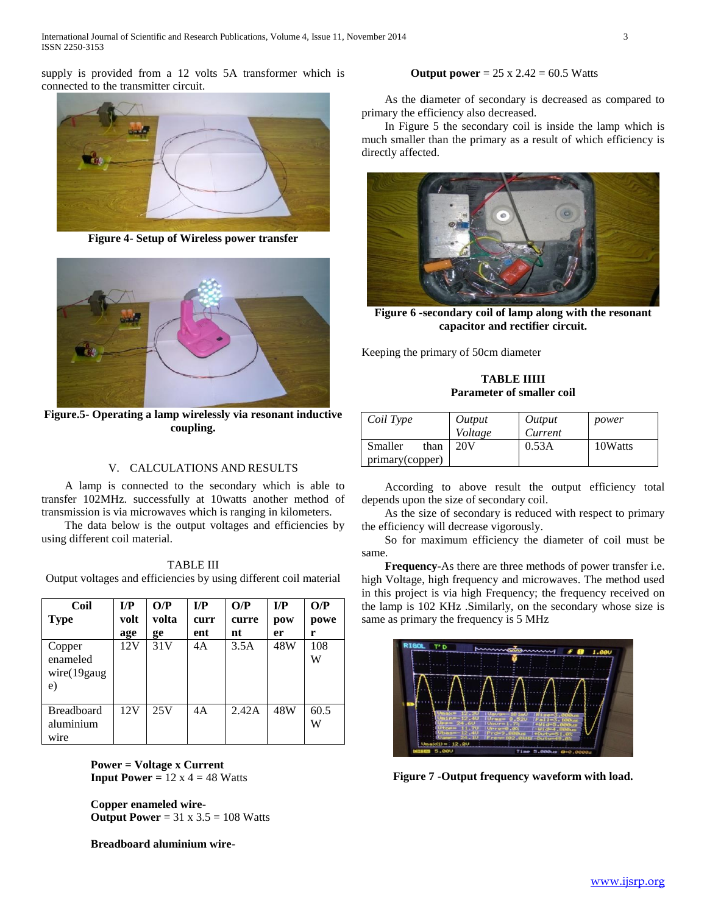supply is provided from a 12 volts 5A transformer which is connected to the transmitter circuit.



**Figure 4- Setup of Wireless power transfer**



**Figure.5- Operating a lamp wirelessly via resonant inductive coupling.**

# V. CALCULATIONS AND RESULTS

 A lamp is connected to the secondary which is able to transfer 102MHz. successfully at 10watts another method of transmission is via microwaves which is ranging in kilometers.

 The data below is the output voltages and efficiencies by using different coil material.

| <b>TABLE III</b>                                                  |
|-------------------------------------------------------------------|
| Output voltages and efficiencies by using different coil material |

| Coil<br><b>Type</b>                        | I/P<br>volt<br>age | O/P<br>volta<br>ge | I/P<br>curr<br>ent | O/P<br>curre<br>nt | I/P<br>pow<br>er | O/P<br>powe<br>r |
|--------------------------------------------|--------------------|--------------------|--------------------|--------------------|------------------|------------------|
| Copper<br>enameled<br>wire(19 gauge)<br>e) | 12V                | 31V                | 4A                 | 3.5A               | 48W              | 108<br>W         |
| <b>Breadboard</b><br>aluminium<br>wire     | 12V                | 25V                | 4A                 | 2.42A              | 48W              | 60.5<br>W        |

 **Power = Voltage x Current Input Power =**  $12 \times 4 = 48$  Watts

 **Copper enameled wire- Output Power** = 31 x 3.5 = 108 Watts

 **Breadboard aluminium wire-**

# **Output power** = 25 x 2.42 = 60.5 Watts

 As the diameter of secondary is decreased as compared to primary the efficiency also decreased.

 In Figure 5 the secondary coil is inside the lamp which is much smaller than the primary as a result of which efficiency is directly affected.



**Figure 6 -secondary coil of lamp along with the resonant capacitor and rectifier circuit.**

Keeping the primary of 50cm diameter

# **TABLE IIIII Parameter of smaller coil**

| Coil Type                          | Output<br>Voltage | Output<br>Current | power   |
|------------------------------------|-------------------|-------------------|---------|
| Smaller<br>than<br>primary(copper) | 20V               | 0.53A             | 10Watts |

 According to above result the output efficiency total depends upon the size of secondary coil.

 As the size of secondary is reduced with respect to primary the efficiency will decrease vigorously.

 So for maximum efficiency the diameter of coil must be same.

 **Frequency-**As there are three methods of power transfer i.e. high Voltage, high frequency and microwaves. The method used in this project is via high Frequency; the frequency received on the lamp is 102 KHz .Similarly, on the secondary whose size is same as primary the frequency is 5 MHz



**Figure 7 -Output frequency waveform with load.**